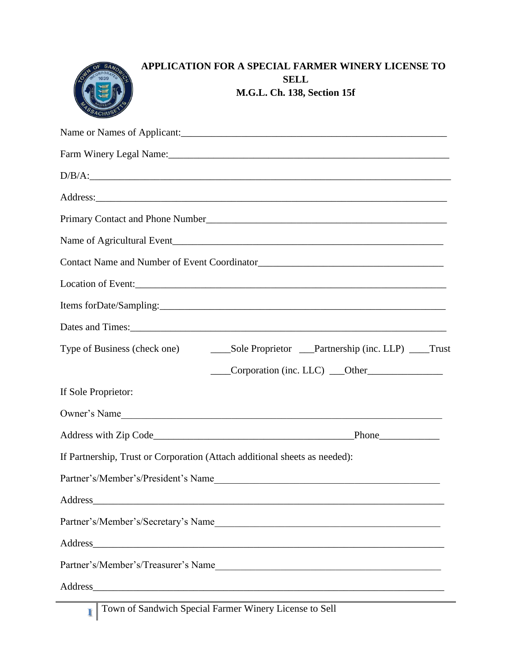| <b>APPLICATION FOR A SPECIAL FARMER WINERY LICENSE TO</b><br><b>SELL</b>                                                                                                                                                       |
|--------------------------------------------------------------------------------------------------------------------------------------------------------------------------------------------------------------------------------|
| M.G.L. Ch. 138, Section 15f                                                                                                                                                                                                    |
| Name or Names of Applicant:                                                                                                                                                                                                    |
|                                                                                                                                                                                                                                |
| D/B/A:                                                                                                                                                                                                                         |
|                                                                                                                                                                                                                                |
|                                                                                                                                                                                                                                |
|                                                                                                                                                                                                                                |
|                                                                                                                                                                                                                                |
|                                                                                                                                                                                                                                |
|                                                                                                                                                                                                                                |
|                                                                                                                                                                                                                                |
|                                                                                                                                                                                                                                |
|                                                                                                                                                                                                                                |
|                                                                                                                                                                                                                                |
| If Sole Proprietor:                                                                                                                                                                                                            |
| Owner's Name                                                                                                                                                                                                                   |
|                                                                                                                                                                                                                                |
| If Partnership, Trust or Corporation (Attach additional sheets as needed):                                                                                                                                                     |
| Partner's/Member's/President's Name                                                                                                                                                                                            |
|                                                                                                                                                                                                                                |
| Partner's/Member's/Secretary's Name                                                                                                                                                                                            |
| Address and the contract of the contract of the contract of the contract of the contract of the contract of the contract of the contract of the contract of the contract of the contract of the contract of the contract of th |
|                                                                                                                                                                                                                                |
| Partner's/Member's/Treasurer's Name                                                                                                                                                                                            |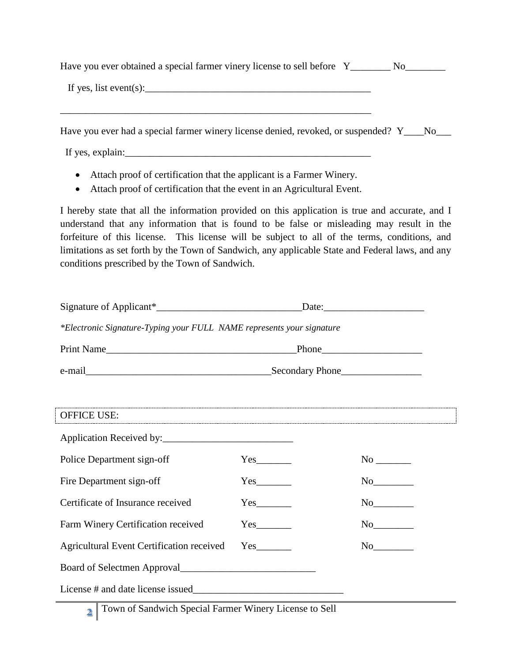| If yes, list event(s): $\qquad \qquad$                                                         |  |
|------------------------------------------------------------------------------------------------|--|
| Have you ever had a special farmer winery license denied, revoked, or suspended? Y_____ No____ |  |
|                                                                                                |  |

If yes, explain:

- Attach proof of certification that the applicant is a Farmer Winery.
- Attach proof of certification that the event in an Agricultural Event.

I hereby state that all the information provided on this application is true and accurate, and I understand that any information that is found to be false or misleading may result in the forfeiture of this license. This license will be subject to all of the terms, conditions, and limitations as set forth by the Town of Sandwich, any applicable State and Federal laws, and any conditions prescribed by the Town of Sandwich.

|                                                                       |     |  | $\text{Date:}$ |  |  |
|-----------------------------------------------------------------------|-----|--|----------------|--|--|
| *Electronic Signature-Typing your FULL NAME represents your signature |     |  |                |  |  |
|                                                                       |     |  |                |  |  |
|                                                                       |     |  |                |  |  |
|                                                                       |     |  |                |  |  |
| <b>OFFICE USE:</b>                                                    |     |  |                |  |  |
|                                                                       |     |  |                |  |  |
| Police Department sign-off                                            |     |  |                |  |  |
| Fire Department sign-off                                              |     |  | No             |  |  |
| Certificate of Insurance received                                     | Yes |  | No             |  |  |
| Farm Winery Certification received                                    |     |  |                |  |  |
| Agricultural Event Certification received                             |     |  | No             |  |  |
|                                                                       |     |  |                |  |  |
| License # and date license issued                                     |     |  |                |  |  |